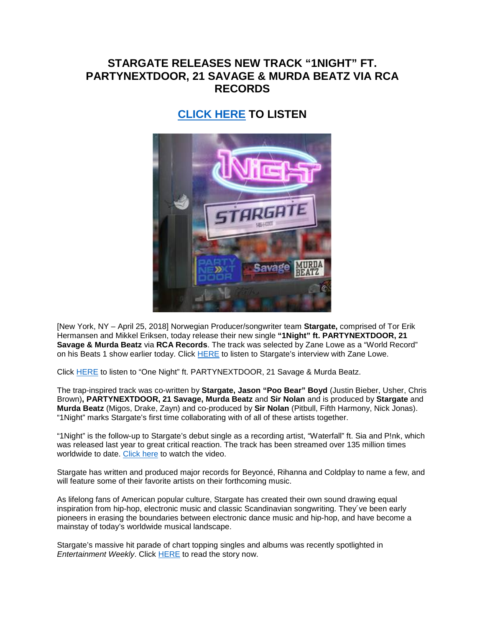## **STARGATE RELEASES NEW TRACK "1NIGHT" FT. PARTYNEXTDOOR, 21 SAVAGE & MURDA BEATZ VIA RCA RECORDS**

## **[CLICK HERE](http://smarturl.it/1NightStargate) TO LISTEN**



[New York, NY – April 25, 2018] Norwegian Producer/songwriter team **Stargate,** comprised of Tor Erik Hermansen and Mikkel Eriksen, today release their new single **"1Night" ft. PARTYNEXTDOOR, 21 Savage & Murda Beatz** via **RCA Records**. The track was selected by Zane Lowe as a "World Record" on his Beats 1 show earlier today. Click [HERE](https://apple.co/_1Night) to listen to Stargate's interview with Zane Lowe.

Click [HERE](http://smarturl.it/1NightStargate) to listen to "One Night" ft. PARTYNEXTDOOR, 21 Savage & Murda Beatz.

The trap-inspired track was co-written by **Stargate, Jason "Poo Bear" Boyd** (Justin Bieber, Usher, Chris Brown)**, PARTYNEXTDOOR, 21 Savage, Murda Beatz** and **Sir Nolan** and is produced by **Stargate** and **Murda Beatz** (Migos, Drake, Zayn) and co-produced by **Sir Nolan** (Pitbull, Fifth Harmony, Nick Jonas). "1Night" marks Stargate's first time collaborating with of all of these artists together.

"1Night" is the follow-up to Stargate's debut single as a recording artist, "Waterfall" ft. Sia and P!nk, which was released last year to great critical reaction. The track has been streamed over 135 million times worldwide to date. [Click here](http://smarturl.it/WATERFALLv) to watch the video.

Stargate has written and produced major records for Beyoncé, Rihanna and Coldplay to name a few, and will feature some of their favorite artists on their forthcoming music.

As lifelong fans of American popular culture, Stargate has created their own sound drawing equal inspiration from hip-hop, electronic music and classic Scandinavian songwriting. They´ve been early pioneers in erasing the boundaries between electronic dance music and hip-hop, and have become a mainstay of today's worldwide musical landscape.

Stargate's massive hit parade of chart topping singles and albums was recently spotlighted in *Entertainment Weekly*. Click [HERE](http://ew.com/music/2018/04/09/stargate-producers-rihanna-katy-perry-beyonce/) to read the story now.